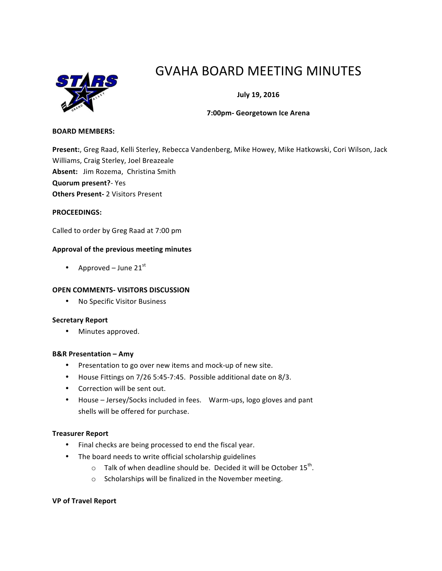

# GVAHA BOARD MEETING MINUTES

**July 19, 2016**

## **7:00pm- Georgetown Ice Arena**

#### **BOARD MEMBERS:**

Present:, Greg Raad, Kelli Sterley, Rebecca Vandenberg, Mike Howey, Mike Hatkowski, Cori Wilson, Jack Williams, Craig Sterley, Joel Breazeale Absent: Jim Rozema, Christina Smith **Quorum present?**- Yes **Others Present- 2 Visitors Present** 

#### **PROCEEDINGS:**

Called to order by Greg Raad at 7:00 pm

## Approval of the previous meeting minutes

• Approved – June  $21<sup>st</sup>$ 

## **OPEN COMMENTS- VISITORS DISCUSSION**

• No Specific Visitor Business

#### **Secretary Report**

• Minutes approved.

#### **B&R Presentation – Amy**

- Presentation to go over new items and mock-up of new site.
- House Fittings on 7/26 5:45-7:45. Possible additional date on 8/3.
- Correction will be sent out.
- House Jersey/Socks included in fees. Warm-ups, logo gloves and pant shells will be offered for purchase.

#### **Treasurer Report**

- Final checks are being processed to end the fiscal year.
- The board needs to write official scholarship guidelines
	- $\circ$  Talk of when deadline should be. Decided it will be October 15<sup>th</sup>.
	- $\circ$  Scholarships will be finalized in the November meeting.

#### **VP of Travel Report**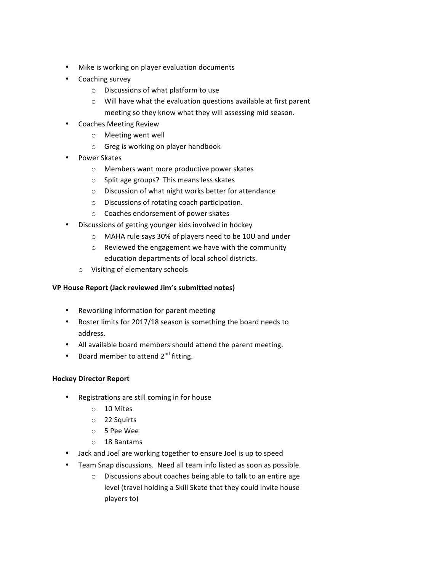- Mike is working on player evaluation documents
- Coaching survey
	- $\circ$  Discussions of what platform to use
	- $\circ$  Will have what the evaluation questions available at first parent meeting so they know what they will assessing mid season.
- **Coaches Meeting Review** 
	- o Meeting went well
	- $\circ$  Greg is working on player handbook
- Power Skates
	- $\circ$  Members want more productive power skates
	- $\circ$  Split age groups? This means less skates
	- $\circ$  Discussion of what night works better for attendance
	- o Discussions of rotating coach participation.
	- $\circ$  Coaches endorsement of power skates
- Discussions of getting younger kids involved in hockey
	- o MAHA rule says 30% of players need to be 10U and under
		- $\circ$  Reviewed the engagement we have with the community education departments of local school districts.
	- o Visiting of elementary schools

# **VP House Report (Jack reviewed Jim's submitted notes)**

- Reworking information for parent meeting
- Roster limits for 2017/18 season is something the board needs to address.
- All available board members should attend the parent meeting.
- Board member to attend  $2^{nd}$  fitting.

# **Hockey Director Report**

- Registrations are still coming in for house
	- o 10 Mites
	- o 22 Squirts
	- o 5 Pee Wee
	- $\circ$  18 Bantams
- Jack and Joel are working together to ensure Joel is up to speed
- Team Snap discussions. Need all team info listed as soon as possible.
	- $\circ$  Discussions about coaches being able to talk to an entire age level (travel holding a Skill Skate that they could invite house players to)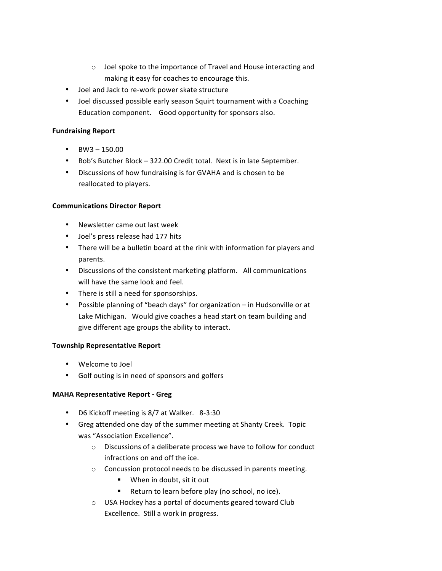- $\circ$  Joel spoke to the importance of Travel and House interacting and making it easy for coaches to encourage this.
- Joel and Jack to re-work power skate structure
- Joel discussed possible early season Squirt tournament with a Coaching Education component. Good opportunity for sponsors also.

# **Fundraising Report**

- $BW3 150.00$
- Bob's Butcher Block 322.00 Credit total. Next is in late September.
- Discussions of how fundraising is for GVAHA and is chosen to be reallocated to players.

# **Communications Director Report**

- Newsletter came out last week
- Joel's press release had 177 hits
- There will be a bulletin board at the rink with information for players and parents.
- Discussions of the consistent marketing platform. All communications will have the same look and feel.
- There is still a need for sponsorships.
- Possible planning of "beach days" for organization in Hudsonville or at Lake Michigan. Would give coaches a head start on team building and give different age groups the ability to interact.

# **Township Representative Report**

- Welcome to Joel
- Golf outing is in need of sponsors and golfers

# **MAHA Representative Report - Greg**

- D6 Kickoff meeting is 8/7 at Walker. 8-3:30
- Greg attended one day of the summer meeting at Shanty Creek. Topic was "Association Excellence".
	- $\circ$  Discussions of a deliberate process we have to follow for conduct infractions on and off the ice.
	- o Concussion protocol needs to be discussed in parents meeting.
		- When in doubt, sit it out
		- Return to learn before play (no school, no ice).
	- o USA Hockey has a portal of documents geared toward Club Excellence. Still a work in progress.